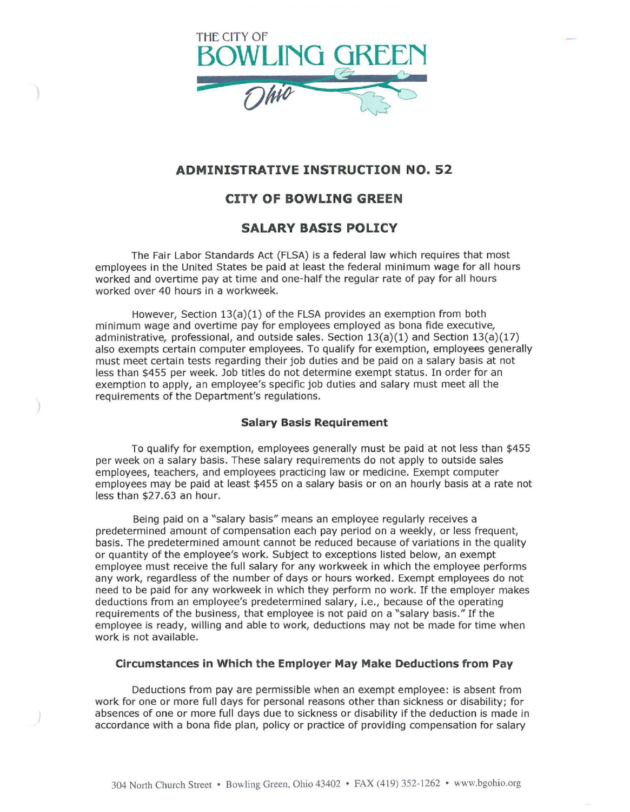

# **ADMINISTRATIVE INSTRUCTION NO. 52**

# **CITY OF BOWLING GREEN**

### **SALARY BASIS POLICY**

The Fair Labor Standards Act (FLSA) is a federal law which requires that most employees in the United States be paid at least the federal minimum wage for all hours worked and overtime pay at time and one-half the regular rate of pay for all hours worked over 40 hours in a workweek.

However, Section 13(a)(1) of the FLSA provides an exemption from both minimum wage and overtime pay for employees employed as bona fide executive, administrative, professional, and outside sales. Section  $13(a)(1)$  and Section  $13(a)(17)$ also exempts certain computer employees. To qualify for exemption, employees generally must meet certain tests regarding their job duties and be paid on a salary basis at not less than \$455 per week. Job titles do not determine exempt status. In order for an exemption to apply, an employee's specific job duties and salary must meet all the requirements of the Department's regulations.

#### **Salary Basis Requirement**

To qualify for exemption, employees generally must be paid at not less than \$455 per week on a salary basis. These salary requirements do not apply to outside sales employees, teachers, and employees practicing law or medicine. Exempt computer employees may be paid at least \$455 on a salary basis or on an hourly basis at a rate not less than \$27.63 an hour.

Being paid on a "salary basis" means an employee regularly receives a predetermined amount of compensation each pay period on a weekly, or less frequent, basis. The predetermined amount cannot be reduced because of variations in the quality or quantity of the employee's work. Subject to exceptions listed below, an exempt employee must receive the full salary for any workweek in which the employee performs any work, regardless of the number of days or hours worked. Exempt employees do not need to be paid for any workweek in which they perform no work. If the employer makes deductions from an employee's predetermined salary, i.e., because of the operating requirements of the business, that employee is not paid on a "salary basis." If the employee is ready, willing and able to work, deductions may not be made for time when work is not available.

#### **Circumstances in Which the Employer May Make Deductions from Pay**

Deductions from pay are permissible when an exempt employee: is absent from work for one or more full days for personal reasons other than sickness or disability; for absences of one or more full days due to sickness or disability if the deduction is made in accordance with a bona fide plan, policy or practice of providing compensation for salary